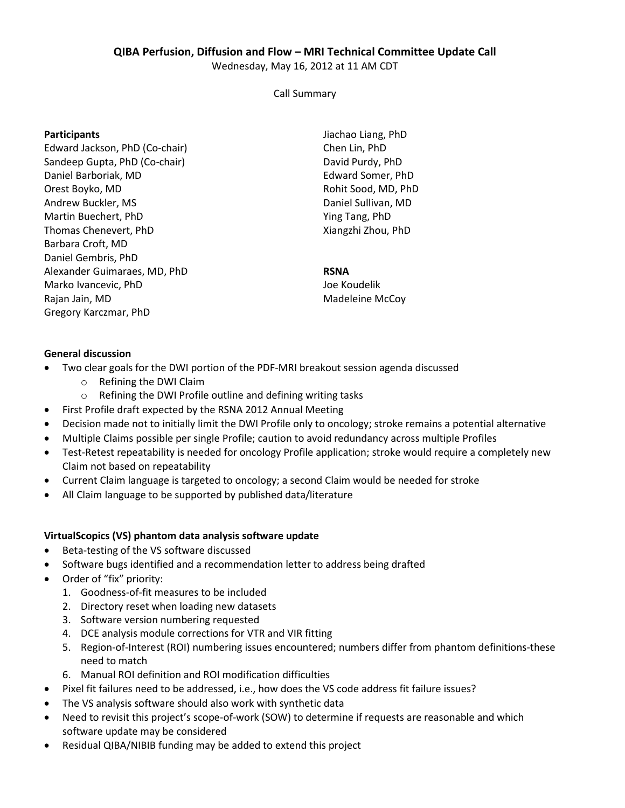# **QIBA Perfusion, Diffusion and Flow – MRI Technical Committee Update Call**

Wednesday, May 16, 2012 at 11 AM CDT

Call Summary

### **Participants**

Edward Jackson, PhD (Co-chair) Sandeep Gupta, PhD (Co-chair) Daniel Barboriak, MD Orest Boyko, MD Andrew Buckler, MS Martin Buechert, PhD Thomas Chenevert, PhD Barbara Croft, MD Daniel Gembris, PhD Alexander Guimaraes, MD, PhD Marko Ivancevic, PhD Rajan Jain, MD Gregory Karczmar, PhD

Jiachao Liang, PhD Chen Lin, PhD David Purdy, PhD Edward Somer, PhD Rohit Sood, MD, PhD Daniel Sullivan, MD Ying Tang, PhD Xiangzhi Zhou, PhD

# **RSNA**

Joe Koudelik Madeleine McCoy

# **General discussion**

- Two clear goals for the DWI portion of the PDF-MRI breakout session agenda discussed
	- o Refining the DWI Claim
	- o Refining the DWI Profile outline and defining writing tasks
- First Profile draft expected by the RSNA 2012 Annual Meeting
- Decision made not to initially limit the DWI Profile only to oncology; stroke remains a potential alternative
- Multiple Claims possible per single Profile; caution to avoid redundancy across multiple Profiles
- Test-Retest repeatability is needed for oncology Profile application; stroke would require a completely new Claim not based on repeatability
- Current Claim language is targeted to oncology; a second Claim would be needed for stroke
- All Claim language to be supported by published data/literature

#### **VirtualScopics (VS) phantom data analysis software update**

- Beta-testing of the VS software discussed
- Software bugs identified and a recommendation letter to address being drafted
- Order of "fix" priority:
	- 1. Goodness-of-fit measures to be included
	- 2. Directory reset when loading new datasets
	- 3. Software version numbering requested
	- 4. DCE analysis module corrections for VTR and VIR fitting
	- 5. Region-of-Interest (ROI) numbering issues encountered; numbers differ from phantom definitions-these need to match
	- 6. Manual ROI definition and ROI modification difficulties
- Pixel fit failures need to be addressed, i.e., how does the VS code address fit failure issues?
- The VS analysis software should also work with synthetic data
- Need to revisit this project's scope-of-work (SOW) to determine if requests are reasonable and which software update may be considered
- Residual QIBA/NIBIB funding may be added to extend this project